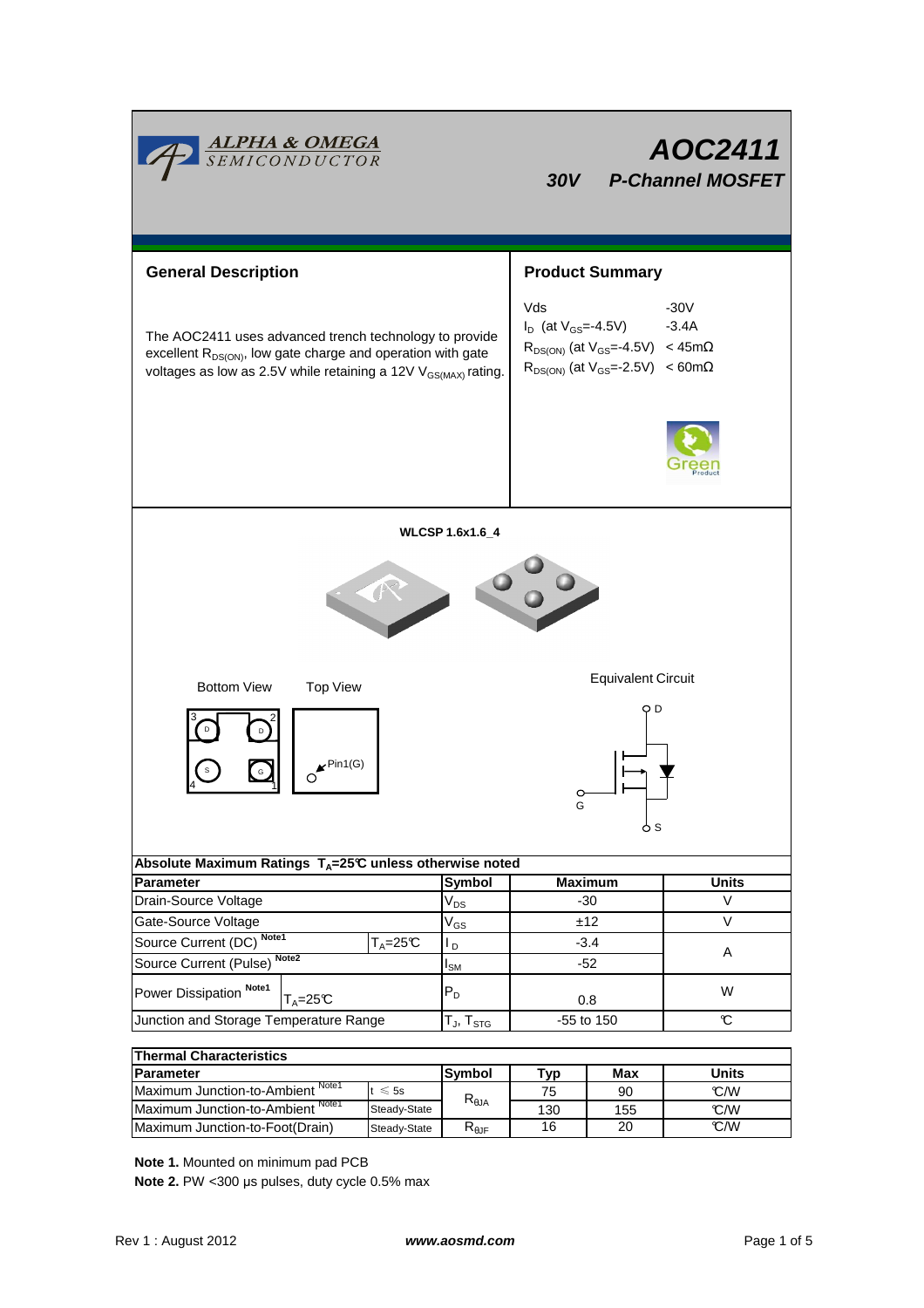| <b>ALPHA &amp; OMEGA</b><br>SEMICONDUCTOR                                                                                                                                                                       |                                      | 30V                                                                                                                                             | AOC2411<br><b>P-Channel MOSFET</b> |  |  |  |
|-----------------------------------------------------------------------------------------------------------------------------------------------------------------------------------------------------------------|--------------------------------------|-------------------------------------------------------------------------------------------------------------------------------------------------|------------------------------------|--|--|--|
| <b>General Description</b>                                                                                                                                                                                      |                                      | <b>Product Summary</b>                                                                                                                          |                                    |  |  |  |
| The AOC2411 uses advanced trench technology to provide<br>excellent R <sub>DS(ON)</sub> , low gate charge and operation with gate<br>voltages as low as 2.5V while retaining a 12V V <sub>GS(MAX)</sub> rating. |                                      | Vds<br>$I_D$ (at $V_{GS} = -4.5V$ )<br>$R_{DS(ON)}$ (at $V_{GS} = -4.5V$ ) < 45m $\Omega$<br>$R_{DS(ON)}$ (at $V_{GS} = -2.5V$ ) < 60m $\Omega$ | $-30V$<br>$-3.4A$                  |  |  |  |
|                                                                                                                                                                                                                 |                                      |                                                                                                                                                 |                                    |  |  |  |
|                                                                                                                                                                                                                 | <b>WLCSP 1.6x1.6_4</b>               |                                                                                                                                                 |                                    |  |  |  |
|                                                                                                                                                                                                                 |                                      |                                                                                                                                                 |                                    |  |  |  |
| <b>Bottom View</b><br><b>Top View</b>                                                                                                                                                                           | <b>Equivalent Circuit</b>            |                                                                                                                                                 |                                    |  |  |  |
| O D<br>$\mathbf{r}$ Pin1(G)<br>G                                                                                                                                                                                |                                      |                                                                                                                                                 |                                    |  |  |  |
| o s                                                                                                                                                                                                             |                                      |                                                                                                                                                 |                                    |  |  |  |
| Absolute Maximum Ratings $T_A=25\text{°C}$ unless otherwise noted                                                                                                                                               |                                      |                                                                                                                                                 |                                    |  |  |  |
| <b>Parameter</b><br>Drain-Source Voltage                                                                                                                                                                        | Symbol<br>$\mathsf{V}_{\mathsf{DS}}$ | <b>Maximum</b><br>$-30$                                                                                                                         | <b>Units</b><br>V                  |  |  |  |
| Gate-Source Voltage                                                                                                                                                                                             | $\rm V_{GS}$                         | ±12                                                                                                                                             | V                                  |  |  |  |
| Source Current (DC) Note1<br>$T_A = 25C$                                                                                                                                                                        | $L_{\rm D}$                          | $-3.4$                                                                                                                                          |                                    |  |  |  |
| Source Current (Pulse) Note2                                                                                                                                                                                    | $\mathsf{I}_\mathsf{SM}$             | $-52$                                                                                                                                           | Α                                  |  |  |  |
| Power Dissipation Note1<br>$T_A = 25C$                                                                                                                                                                          | $P_D$                                | 0.8                                                                                                                                             | W                                  |  |  |  |
| Junction and Storage Temperature Range                                                                                                                                                                          | $T_J$ , $T_{STG}$                    | -55 to 150                                                                                                                                      | C                                  |  |  |  |
| <b>Thermal Characteristics</b>                                                                                                                                                                                  |                                      |                                                                                                                                                 |                                    |  |  |  |

| <b>Thermal Characteristics</b>    |              |                     |     |     |       |  |  |
|-----------------------------------|--------------|---------------------|-----|-----|-------|--|--|
| <b>IParameter</b>                 |              | lSvmbol             | ⊤ур | Max | Units |  |  |
| Maximum Junction-to-Ambient Note1 | $\leq 5s$    | $R_{\theta$ JA      | 75  | 90  | °C/W  |  |  |
| Maximum Junction-to-Ambient Note1 | Steady-State |                     | 130 | 155 | °C/W  |  |  |
| Maximum Junction-to-Foot(Drain)   | Steady-State | $R_{0,\mathrm{IF}}$ | 16  | 20  | °C/W  |  |  |

**Note 1.** Mounted on minimum pad PCB

**Note 2.** PW <300 µs pulses, duty cycle 0.5% max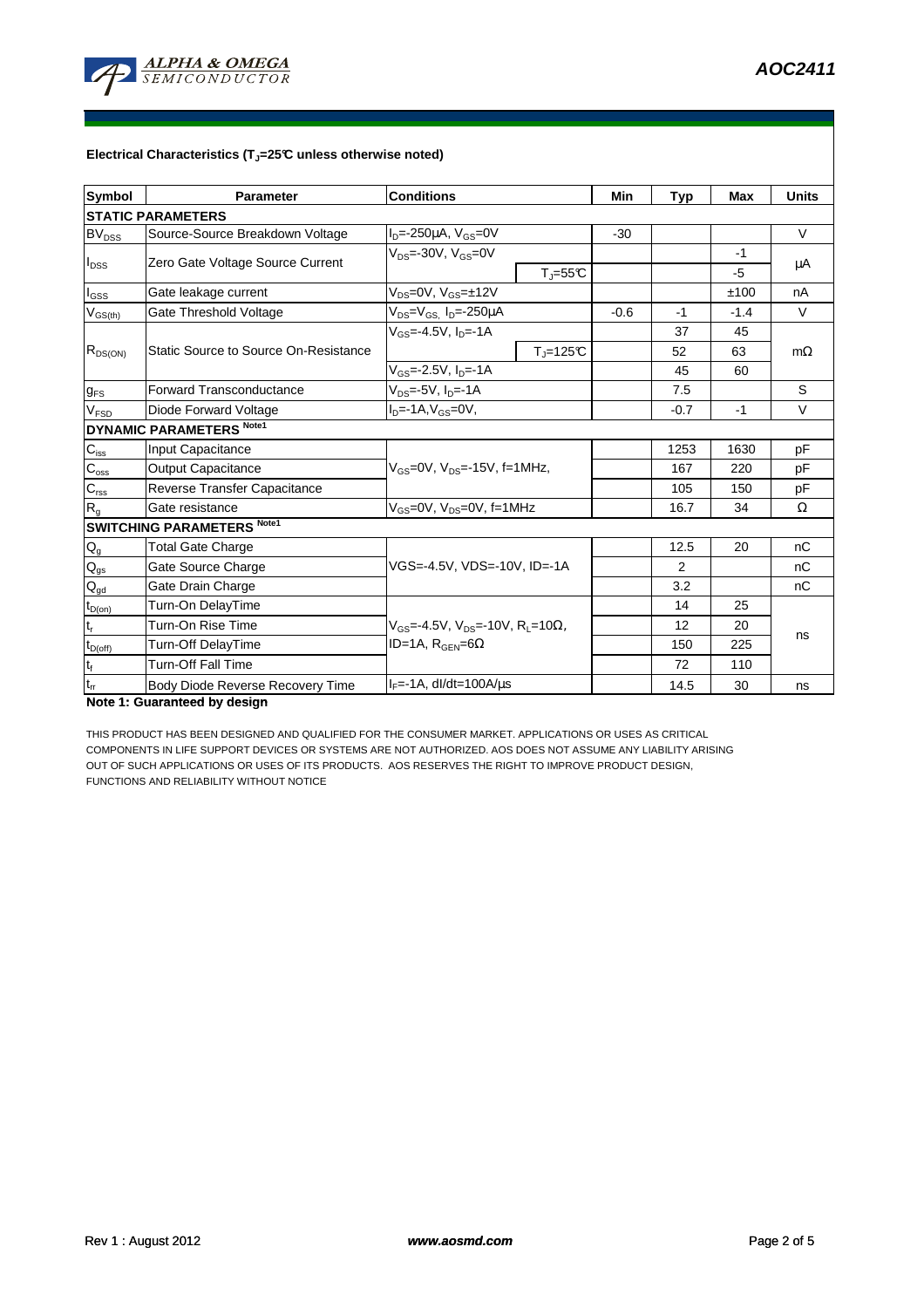

## **Electrical Characteristics (TJ=25°C unless otherwise noted)**

| <b>Symbol</b>                          | <b>Parameter</b>                      | <b>Conditions</b>                                                                                        |            | Min    | <b>Typ</b>     | <b>Max</b> | <b>Units</b> |  |  |  |
|----------------------------------------|---------------------------------------|----------------------------------------------------------------------------------------------------------|------------|--------|----------------|------------|--------------|--|--|--|
| <b>STATIC PARAMETERS</b>               |                                       |                                                                                                          |            |        |                |            |              |  |  |  |
| $BV_{DSS}$                             | Source-Source Breakdown Voltage       | $ID=-250\mu A$ , $VGS=0V$                                                                                |            | $-30$  |                |            | $\vee$       |  |  |  |
| $I_{DSS}$                              | Zero Gate Voltage Source Current      | $V_{DS} = -30V$ , $V_{GS} = 0V$<br>$T_{\parallel} = 55^{\circ}C$                                         |            |        |                | $-1$       | μA           |  |  |  |
|                                        |                                       |                                                                                                          |            |        |                | $-5$       |              |  |  |  |
| $I_{GSS}$                              | Gate leakage current                  | $V_{DS}=0V$ , $V_{GS}=±12V$                                                                              |            |        |                | ±100       | nA           |  |  |  |
| $V_{GS(th)}$                           | Gate Threshold Voltage                | $V_{DS} = V_{GS}$ , $I_D = -250 \mu A$                                                                   |            | $-0.6$ | $-1$           | $-1.4$     | V            |  |  |  |
|                                        | Static Source to Source On-Resistance | $V_{GS} = -4.5V$ , $I_{D} = -1A$                                                                         |            |        | 37             | 45         |              |  |  |  |
| $R_{DS(ON)}$                           |                                       |                                                                                                          | $T = 125C$ |        | 52             | 63         | $m\Omega$    |  |  |  |
|                                        |                                       | $V_{GS}$ =-2.5V, $I_{D}$ =-1A                                                                            |            |        | 45             | 60         |              |  |  |  |
| $g_{FS}$                               | Forward Transconductance              | $V_{DS} = -5V$ , $I_{D} = -1A$                                                                           |            |        | 7.5            |            | S            |  |  |  |
| V <sub>FSD</sub>                       | Diode Forward Voltage                 | $ID=-1A, VGS=0V,$                                                                                        |            |        | $-0.7$         | $-1$       | $\vee$       |  |  |  |
|                                        | <b>DYNAMIC PARAMETERS Note1</b>       |                                                                                                          |            |        |                |            |              |  |  |  |
| $C_{\text{iss}}$                       | Input Capacitance                     |                                                                                                          |            |        | 1253           | 1630       | pF           |  |  |  |
| $C_{\text{oss}}$                       | <b>Output Capacitance</b>             | $V_{\text{GS}}$ =0V, $V_{\text{DS}}$ =-15V, f=1MHz,                                                      |            |        | 167            | 220        | рF           |  |  |  |
| $\mathbf{C}_{\text{rss}}$              | Reverse Transfer Capacitance          |                                                                                                          |            |        | 105            | 150        | pF           |  |  |  |
| $R_{g}$                                | Gate resistance                       | $V_{GS}$ =0V, $V_{DS}$ =0V, f=1MHz                                                                       |            |        | 16.7           | 34         | $\Omega$     |  |  |  |
|                                        | <b>SWITCHING PARAMETERS Note1</b>     |                                                                                                          |            |        |                |            |              |  |  |  |
| $\mathsf{Q}_{\mathsf{g}}$              | <b>Total Gate Charge</b>              | VGS=-4.5V, VDS=-10V, ID=-1A                                                                              |            |        | 12.5           | 20         | nC           |  |  |  |
| $\mathsf{Q}_{\mathsf{gs}}$             | Gate Source Charge                    |                                                                                                          |            |        | $\overline{2}$ |            | nC           |  |  |  |
| $\mathsf{Q}_{\underline{\mathsf{gd}}}$ | Gate Drain Charge                     |                                                                                                          |            |        | 3.2            |            | nC           |  |  |  |
| $t_{D(0n)}$                            | Turn-On DelayTime                     |                                                                                                          |            |        | 14             | 25         |              |  |  |  |
| $\mathsf{t}_{\mathsf{r}}$              | Turn-On Rise Time                     | $V_{GS}$ =-4.5V, V <sub>DS</sub> =-10V, R <sub>1</sub> =10 $\Omega$ ,<br>ID=1A, $R_{\text{GFN}}=6\Omega$ |            |        | 12             | 20         | ns           |  |  |  |
| $t_{D(off)}$                           | <b>Turn-Off DelayTime</b>             |                                                                                                          |            |        | 150            | 225        |              |  |  |  |
| $\mathsf{t}_{\mathsf{f}}$              | <b>Turn-Off Fall Time</b>             |                                                                                                          |            |        | 72             | 110        |              |  |  |  |
| $t_{rr}$                               | Body Diode Reverse Recovery Time      | $IF=-1A$ , dl/dt=100A/us                                                                                 |            |        | 14.5           | 30         | ns           |  |  |  |

**Note 1: Guaranteed by design**

THIS PRODUCT HAS BEEN DESIGNED AND QUALIFIED FOR THE CONSUMER MARKET. APPLICATIONS OR USES AS CRITICAL COMPONENTS IN LIFE SUPPORT DEVICES OR SYSTEMS ARE NOT AUTHORIZED. AOS DOES NOT ASSUME ANY LIABILITY ARISING OUT OF SUCH APPLICATIONS OR USES OF ITS PRODUCTS. AOS RESERVES THE RIGHT TO IMPROVE PRODUCT DESIGN, FUNCTIONS AND RELIABILITY WITHOUT NOTICE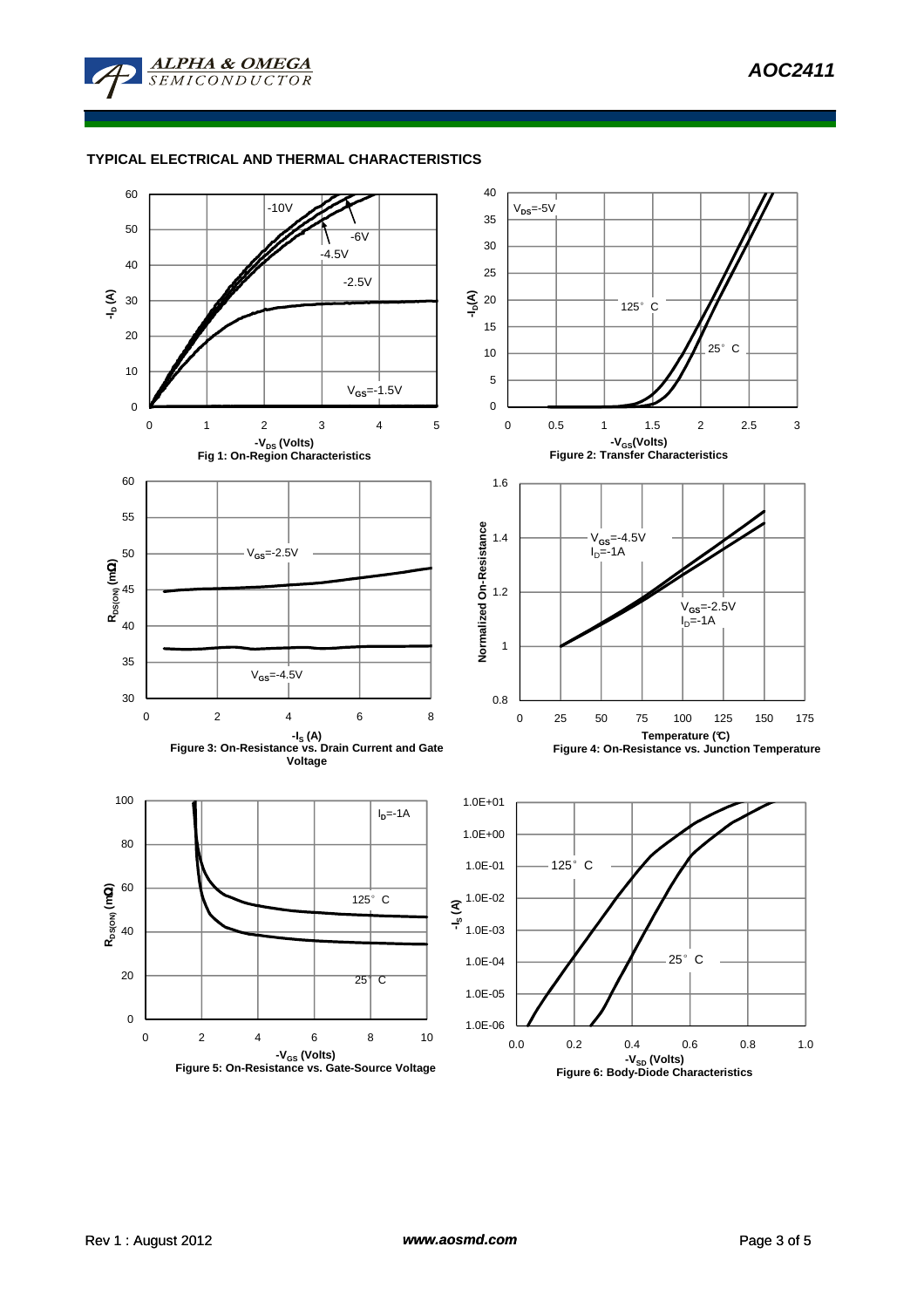

## **TYPICAL ELECTRICAL AND THERMAL CHARACTERISTICS**